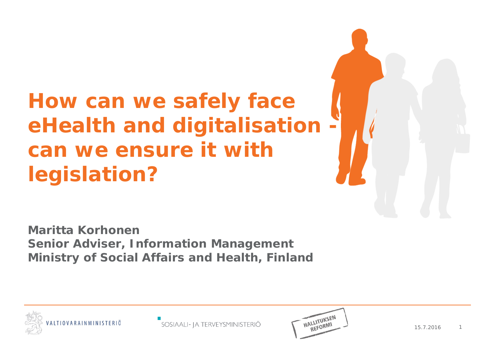#### **How can we safely face eHealth and digitalisation can we ensure it with legislation?**

**Maritta Korhonen Senior Adviser, Information Management Ministry of Social Affairs and Health, Finland**



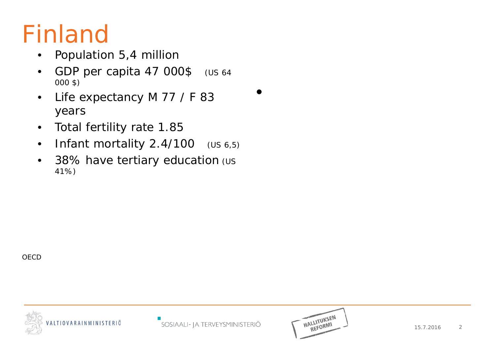# Finland

- Population 5,4 million
- GDP per capita 47 000\$ (US 64 000 \$)
- Life expectancy M 77 / F 83 years
- Total fertility rate 1.85
- Infant mortality 2.4/100 (US 6,5)
- 38% have tertiary education (us 41%)

**OECD** 





•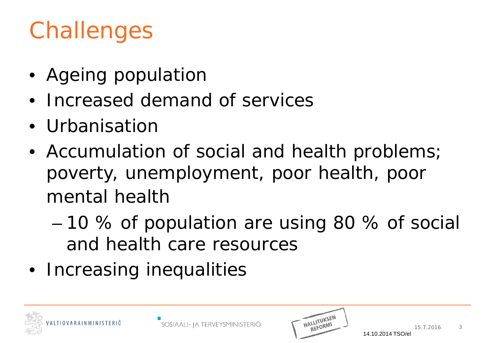# Challenges

- Ageing population
- Increased demand of services
- Urbanisation
- Accumulation of social and health problems; poverty, unemployment, poor health, poor mental health
	- 10 % of population are using 80 % of social and health care resources
- Increasing inequalities



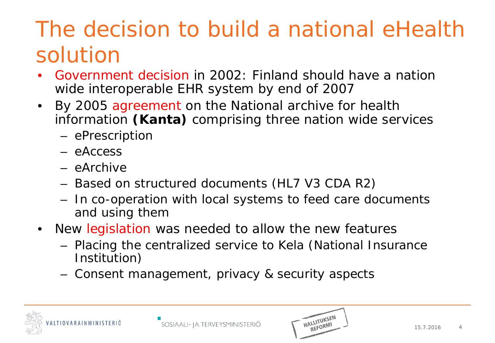#### The decision to build a national eHealth solution

- Government decision in 2002: Finland should have a nation wide interoperable EHR system by end of 2007
- By 2005 agreement on the National archive for health information **(Kanta)** comprising three nation wide services
	- ePrescription
	- eAccess
	- eArchive
	- Based on structured documents (HL7 V3 CDA R2)
	- In co-operation with local systems to feed care documents and using them
- New legislation was needed to allow the new features
	- Placing the centralized service to Kela (National Insurance Institution)
	- Consent management, privacy & security aspects



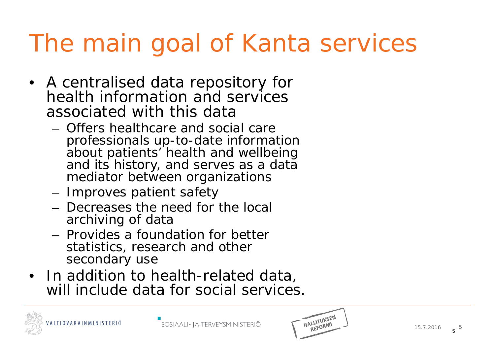# The main goal of Kanta services

- A centralised data repository for health information and services associated with this data
	- Offers healthcare and social care professionals up-to-date information about patients' health and wellbeing and its history, and serves as a data mediator between organizations
	- Improves patient safety
	- Decreases the need for the local archiving of data
	- Provides a foundation for better statistics, research and other secondary use
- In addition to health-related data, will include data for social services.



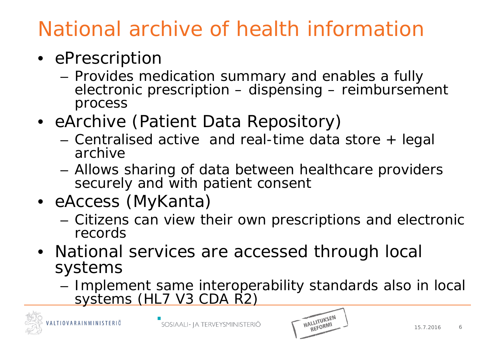#### National archive of health information

- ePrescription
	- Provides medication summary and enables a fully electronic prescription – dispensing – reimbursement process
- eArchive (Patient Data Repository)
	- Centralised active and real-time data store + legal archive
	- Allows sharing of data between healthcare providers securely and with patient consent
- eAccess (MyKanta)
	- Citizens can view their own prescriptions and electronic records
- National services are accessed through local systems
	- Implement same interoperability standards also in local systems (HL7 V3 CDA R2)



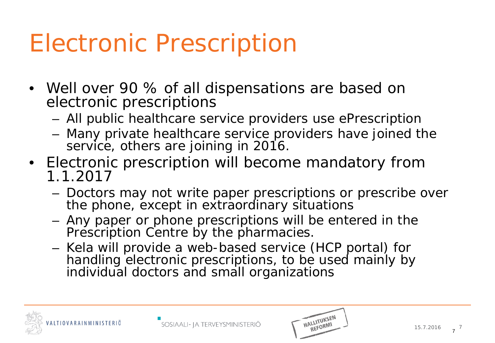# Electronic Prescription

- Well over 90 % of all dispensations are based on electronic prescriptions
	- All public healthcare service providers use ePrescription
	- Many private healthcare service providers have joined the service, others are joining in 2016.
- Electronic prescription will become mandatory from 1.1.2017
	- Doctors may not write paper prescriptions or prescribe over the phone, except in extraordinary situations
	- Any paper or phone prescriptions will be entered in the Prescription Centre by the pharmacies.
	- Kela will provide a web-based service (HCP portal) for handling electronic prescriptions, to be used mainly by individual doctors and small organizations



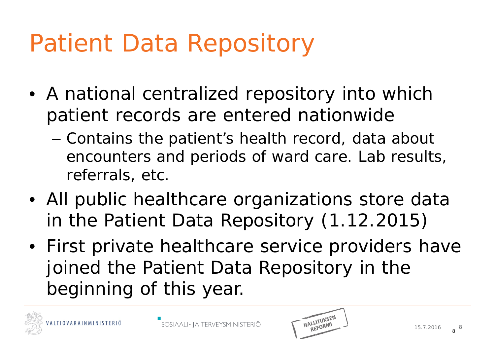# Patient Data Repository

- A national centralized repository into which patient records are entered nationwide
	- Contains the patient's health record, data about encounters and periods of ward care. Lab results, referrals, etc.
- All public healthcare organizations store data in the Patient Data Repository (1.12.2015)
- First private healthcare service providers have joined the Patient Data Repository in the beginning of this year.



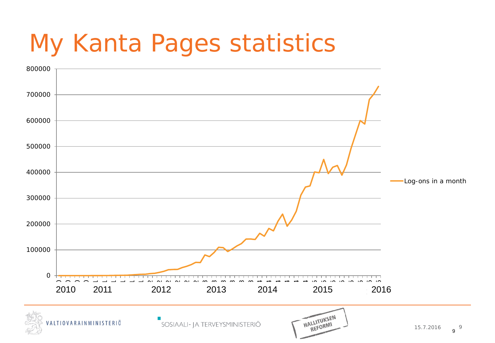# My Kanta Pages statistics

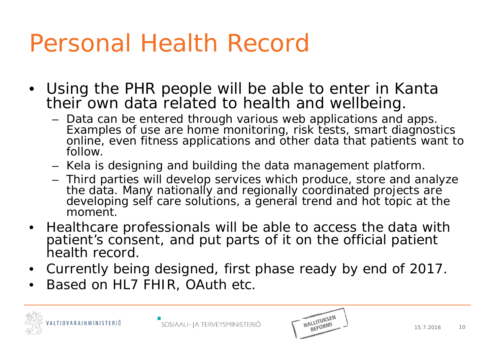### Personal Health Record

- Using the PHR people will be able to enter in Kanta their own data related to health and wellbeing.
	- Data can be entered through various web applications and apps. Examples of use are home monitoring, risk tests, smart diagnostics online, even fitness applications and other data that patients want to follow.
	- Kela is designing and building the data management platform.
	- Third parties will develop services which produce, store and analyze the data. Many nationally and regionally coordinated projects are developing self care solutions, a general trend and hot topic at the moment.
- Healthcare professionals will be able to access the data with patient's consent, and put parts of it on the official patient health record.
- Currently being designed, first phase ready by end of 2017.
- Based on HL7 FHIR, OAuth etc.



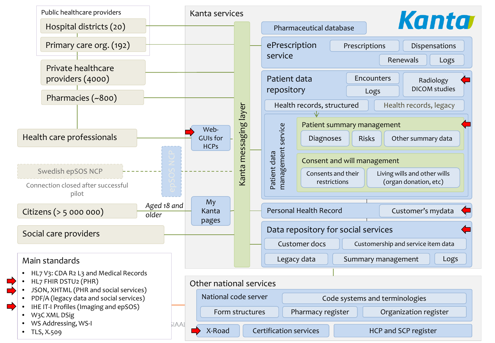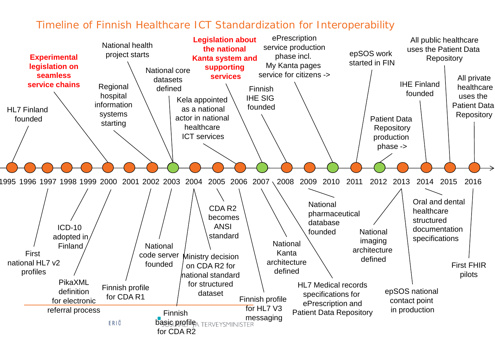#### Timeline of Finnish Healthcare ICT Standardization for Interoperability

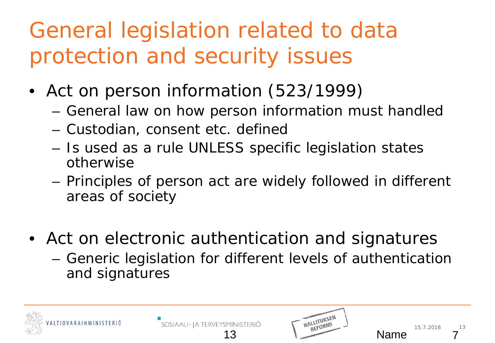#### General legislation related to data protection and security issues

- Act on person information (523/1999)
	- General law on how person information must handled
	- Custodian, consent etc. defined
	- Is used as a rule UNLESS specific legislation states otherwise
	- Principles of person act are widely followed in different areas of society
- Act on electronic authentication and signatures
	- Generic legislation for different levels of authentication and signatures

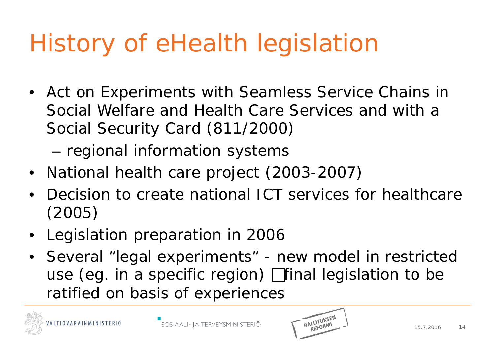# History of eHealth legislation

• Act on Experiments with Seamless Service Chains in Social Welfare and Health Care Services and with a Social Security Card (811/2000)

– regional information systems

- National health care project (2003-2007)
- Decision to create national ICT services for healthcare (2005)
- Legislation preparation in 2006
- Several "legal experiments" new model in restricted use (eg. in a specific region)  $\Box$  final legislation to be ratified on basis of experiences



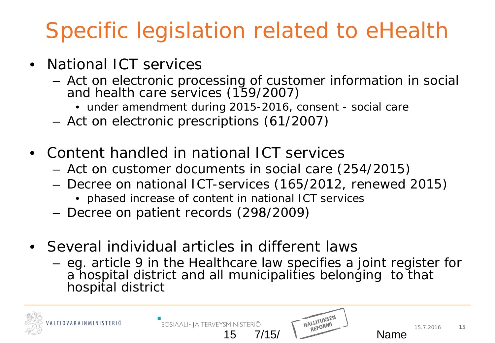#### Specific legislation related to eHealth

- National ICT services
	- Act on electronic processing of customer information in social and health care services (159/2007)
		- under amendment during 2015-2016, consent social care
	- Act on electronic prescriptions (61/2007)
- Content handled in national ICT services
	- Act on customer documents in social care (254/2015)
	- Decree on national ICT-services (165/2012, renewed 2015)
		- phased increase of content in national ICT services
	- Decree on patient records (298/2009)
- Several individual articles in different laws

SOSIAALI- JA TERVEYSMINISTERIÖ

– eg. article 9 in the Healthcare law specifies a joint register for a hospital district and all municipalities belonging to that hospital district



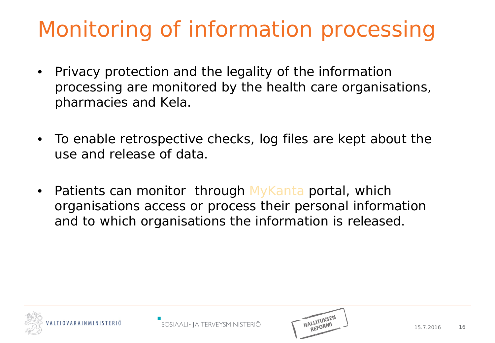#### Monitoring of information processing

- Privacy protection and the legality of the information processing are monitored by the health care organisations, pharmacies and Kela.
- To enable retrospective checks, log files are kept about the use and release of data.
- Patients can monitor through MyKanta portal, which organisations access or process their personal information and to which organisations the information is released.



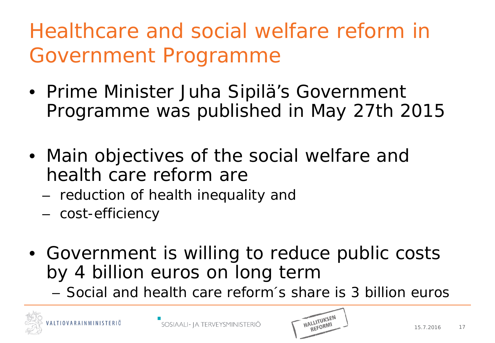#### Healthcare and social welfare reform in Government Programme

- Prime Minister Juha Sipilä's Government Programme was published in May 27th 2015
- Main objectives of the social welfare and health care reform are
	- reduction of health inequality and
	- cost-efficiency
- Government is willing to reduce public costs by 4 billion euros on long term
	- Social and health care reform´s share is 3 billion euros



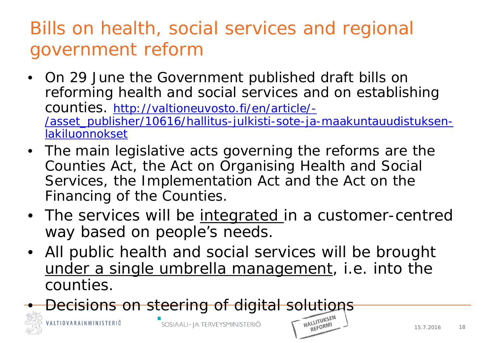#### Bills on health, social services and regional government reform

- On 29 June the Government published draft bills on reforming health and social services and on establishing counties. [http://valtioneuvosto.fi/en/article/-](http://valtioneuvosto.fi/en/article/-/asset_publisher/10616/hallitus-julkisti-sote-ja-maakuntauudistuksen-lakiluonnokset) [/asset\\_publisher/10616/hallitus-julkisti-sote-ja-maakuntauudistuksen](http://valtioneuvosto.fi/en/article/-/asset_publisher/10616/hallitus-julkisti-sote-ja-maakuntauudistuksen-lakiluonnokset)[lakiluonnokset](http://valtioneuvosto.fi/en/article/-/asset_publisher/10616/hallitus-julkisti-sote-ja-maakuntauudistuksen-lakiluonnokset)
- The main legislative acts governing the reforms are the Counties Act, the Act on Organising Health and Social Services, the Implementation Act and the Act on the Financing of the Counties.
- The services will be <u>integrated</u> in a customer-centred way based on people's needs.
- All public health and social services will be brought under a single umbrella management, i.e. into the counties.
- **Decisions on steering of digital solutions**



REFORMI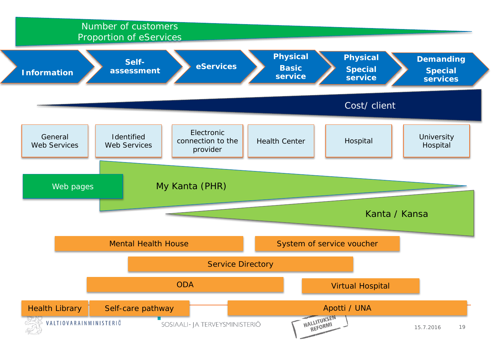